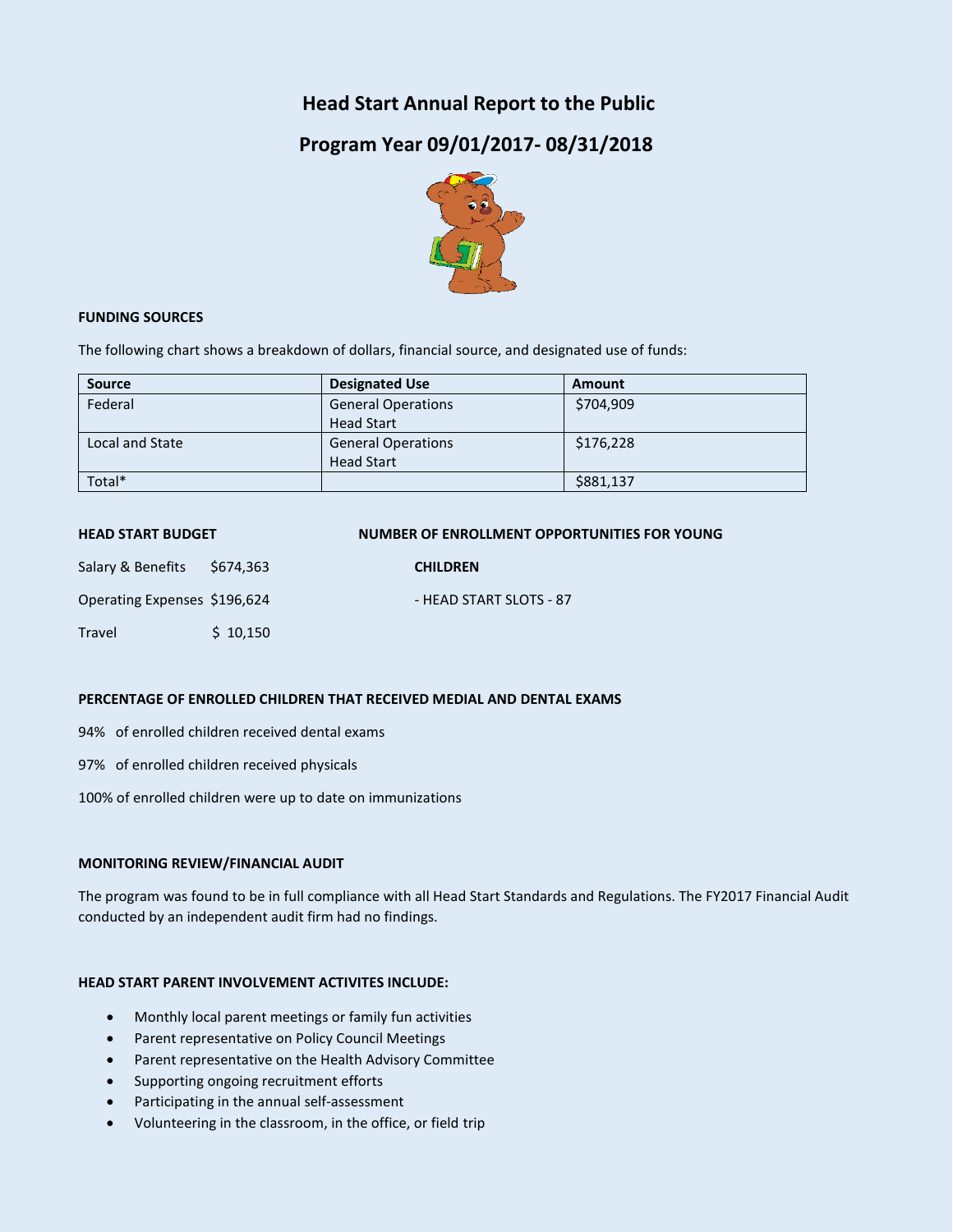## **Head Start Annual Report to the Public**

# **Program Year 09/01/2017- 08/31/2018**



#### **FUNDING SOURCES**

The following chart shows a breakdown of dollars, financial source, and designated use of funds:

| <b>Source</b>   | <b>Designated Use</b>     | Amount    |
|-----------------|---------------------------|-----------|
| Federal         | <b>General Operations</b> | \$704,909 |
|                 | <b>Head Start</b>         |           |
| Local and State | <b>General Operations</b> | \$176,228 |
|                 | <b>Head Start</b>         |           |
| Total*          |                           | \$881,137 |

| <b>HEAD START BUDGET</b>     |           | NUMBER OF ENROLLMENT OPPORTUNITIES FOR YOUNG |
|------------------------------|-----------|----------------------------------------------|
| Salary & Benefits            | \$674,363 | <b>CHILDREN</b>                              |
| Operating Expenses \$196,624 |           | - HEAD START SLOTS - 87                      |
| Travel                       | \$10,150  |                                              |

#### **PERCENTAGE OF ENROLLED CHILDREN THAT RECEIVED MEDIAL AND DENTAL EXAMS**

94% of enrolled children received dental exams

97% of enrolled children received physicals

100% of enrolled children were up to date on immunizations

#### **MONITORING REVIEW/FINANCIAL AUDIT**

The program was found to be in full compliance with all Head Start Standards and Regulations. The FY2017 Financial Audit conducted by an independent audit firm had no findings.

#### **HEAD START PARENT INVOLVEMENT ACTIVITES INCLUDE:**

- Monthly local parent meetings or family fun activities
- Parent representative on Policy Council Meetings
- Parent representative on the Health Advisory Committee
- Supporting ongoing recruitment efforts
- Participating in the annual self-assessment
- Volunteering in the classroom, in the office, or field trip